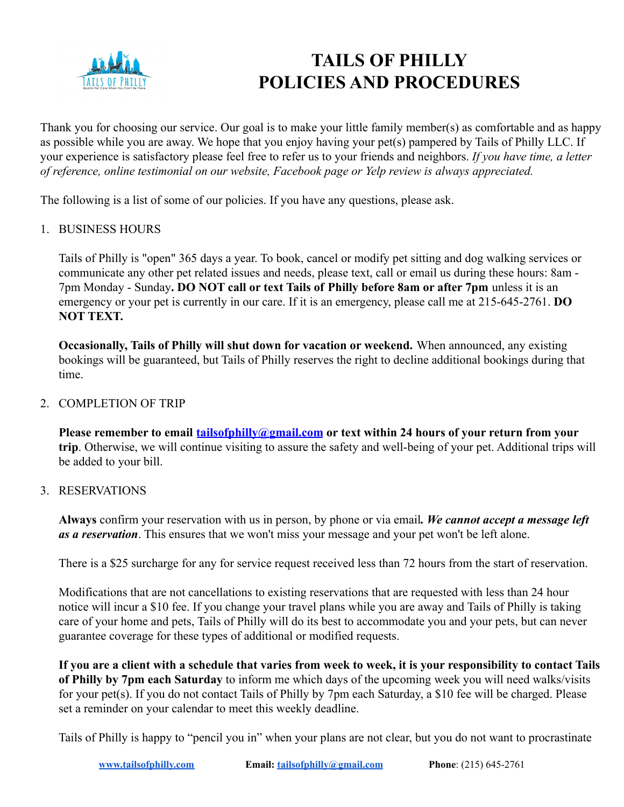

# **TAILS OF PHILLY POLICIES AND PROCEDURES**

Thank you for choosing our service. Our goal is to make your little family member(s) as comfortable and as happy as possible while you are away. We hope that you enjoy having your pet(s) pampered by Tails of Philly LLC. If your experience is satisfactory please feel free to refer us to your friends and neighbors. *If you have time, a letter of reference, online testimonial on our website, Facebook page or Yelp review is always appreciated.*

The following is a list of some of our policies. If you have any questions, please ask.

#### 1. BUSINESS HOURS

Tails of Philly is "open" 365 days a year. To book, cancel or modify pet sitting and dog walking services or communicate any other pet related issues and needs, please text, call or email us during these hours: 8am - 7pm Monday - Sunday**. DO NOT call or text Tails of Philly before 8am or after 7pm** unless it is an emergency or your pet is currently in our care. If it is an emergency, please call me at 215-645-2761. **DO NOT TEXT.**

**Occasionally, Tails of Philly will shut down for vacation or weekend.** When announced, any existing bookings will be guaranteed, but Tails of Philly reserves the right to decline additional bookings during that time.

## 2. COMPLETION OF TRIP

**Please remember to email [tailsofphilly@gmail.com](mailto:tailsofphilly@gmail.com) or text within 24 hours of your return from your trip**. Otherwise, we will continue visiting to assure the safety and well-being of your pet. Additional trips will be added to your bill.

#### 3. RESERVATIONS

**Always** confirm your reservation with us in person, by phone or via email*. We cannot accept a message left as a reservation*. This ensures that we won't miss your message and your pet won't be left alone.

There is a \$25 surcharge for any for service request received less than 72 hours from the start of reservation.

Modifications that are not cancellations to existing reservations that are requested with less than 24 hour notice will incur a \$10 fee. If you change your travel plans while you are away and Tails of Philly is taking care of your home and pets, Tails of Philly will do its best to accommodate you and your pets, but can never guarantee coverage for these types of additional or modified requests.

**If you are a client with a schedule that varies from week to week, it is your responsibility to contact Tails of Philly by 7pm each Saturday** to inform me which days of the upcoming week you will need walks/visits for your pet(s). If you do not contact Tails of Philly by 7pm each Saturday, a \$10 fee will be charged. Please set a reminder on your calendar to meet this weekly deadline.

Tails of Philly is happy to "pencil you in" when your plans are not clear, but you do not want to procrastinate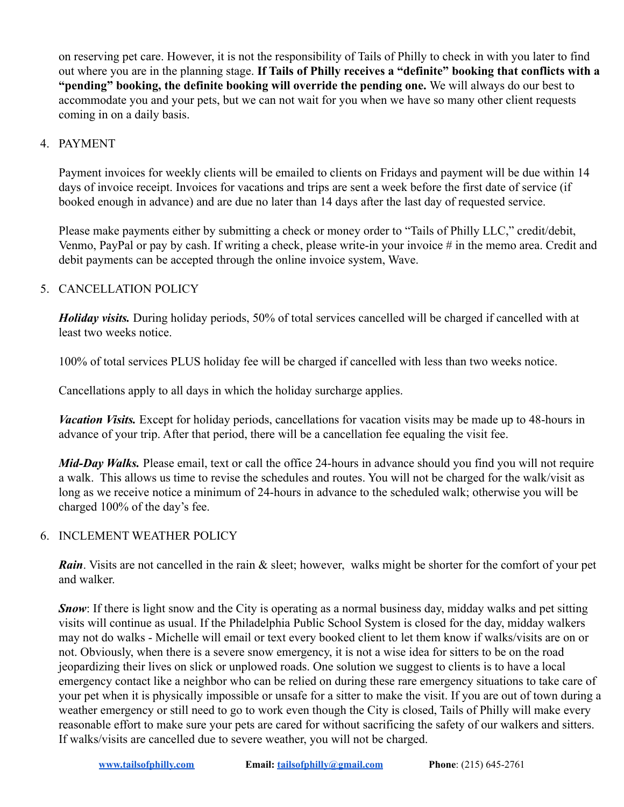on reserving pet care. However, it is not the responsibility of Tails of Philly to check in with you later to find out where you are in the planning stage. **If Tails of Philly receives a "definite" booking that conflicts with a "pending" booking, the definite booking will override the pending one.** We will always do our best to accommodate you and your pets, but we can not wait for you when we have so many other client requests coming in on a daily basis.

# 4. PAYMENT

Payment invoices for weekly clients will be emailed to clients on Fridays and payment will be due within 14 days of invoice receipt. Invoices for vacations and trips are sent a week before the first date of service (if booked enough in advance) and are due no later than 14 days after the last day of requested service.

Please make payments either by submitting a check or money order to "Tails of Philly LLC," credit/debit, Venmo, PayPal or pay by cash. If writing a check, please write-in your invoice # in the memo area. Credit and debit payments can be accepted through the online invoice system, Wave.

# 5. CANCELLATION POLICY

*Holiday visits.* During holiday periods, 50% of total services cancelled will be charged if cancelled with at least two weeks notice.

100% of total services PLUS holiday fee will be charged if cancelled with less than two weeks notice.

Cancellations apply to all days in which the holiday surcharge applies.

*Vacation Visits.* Except for holiday periods, cancellations for vacation visits may be made up to 48-hours in advance of your trip. After that period, there will be a cancellation fee equaling the visit fee.

*Mid-Day Walks.* Please email, text or call the office 24-hours in advance should you find you will not require a walk. This allows us time to revise the schedules and routes. You will not be charged for the walk/visit as long as we receive notice a minimum of 24-hours in advance to the scheduled walk; otherwise you will be charged 100% of the day's fee.

# 6. INCLEMENT WEATHER POLICY

*Rain*. Visits are not cancelled in the rain & sleet; however, walks might be shorter for the comfort of your pet and walker.

*Snow*: If there is light snow and the City is operating as a normal business day, midday walks and pet sitting visits will continue as usual. If the Philadelphia Public School System is closed for the day, midday walkers may not do walks - Michelle will email or text every booked client to let them know if walks/visits are on or not. Obviously, when there is a severe snow emergency, it is not a wise idea for sitters to be on the road jeopardizing their lives on slick or unplowed roads. One solution we suggest to clients is to have a local emergency contact like a neighbor who can be relied on during these rare emergency situations to take care of your pet when it is physically impossible or unsafe for a sitter to make the visit. If you are out of town during a weather emergency or still need to go to work even though the City is closed, Tails of Philly will make every reasonable effort to make sure your pets are cared for without sacrificing the safety of our walkers and sitters. If walks/visits are cancelled due to severe weather, you will not be charged.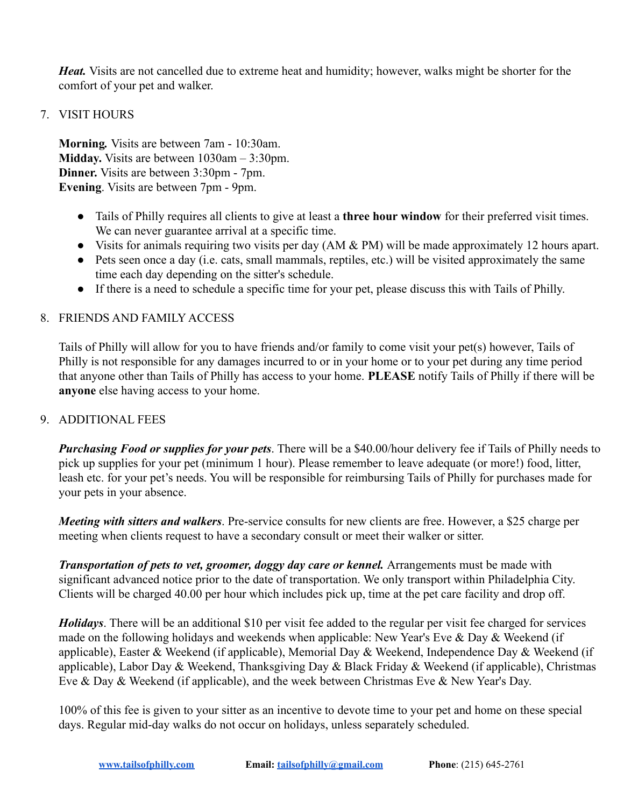*Heat.* Visits are not cancelled due to extreme heat and humidity; however, walks might be shorter for the comfort of your pet and walker.

## 7. VISIT HOURS

**Morning***.* Visits are between 7am - 10:30am. **Midday.** Visits are between 1030am – 3:30pm. **Dinner.** Visits are between 3:30pm - 7pm. **Evening**. Visits are between 7pm - 9pm.

- Tails of Philly requires all clients to give at least a **three hour window** for their preferred visit times. We can never guarantee arrival at a specific time.
- Visits for animals requiring two visits per day (AM & PM) will be made approximately 12 hours apart.
- Pets seen once a day (i.e. cats, small mammals, reptiles, etc.) will be visited approximately the same time each day depending on the sitter's schedule.
- If there is a need to schedule a specific time for your pet, please discuss this with Tails of Philly.

#### 8. FRIENDS AND FAMILY ACCESS

Tails of Philly will allow for you to have friends and/or family to come visit your pet(s) however, Tails of Philly is not responsible for any damages incurred to or in your home or to your pet during any time period that anyone other than Tails of Philly has access to your home. **PLEASE** notify Tails of Philly if there will be **anyone** else having access to your home.

#### 9. ADDITIONAL FEES

*Purchasing Food or supplies for your pets*. There will be a \$40.00/hour delivery fee if Tails of Philly needs to pick up supplies for your pet (minimum 1 hour). Please remember to leave adequate (or more!) food, litter, leash etc. for your pet's needs. You will be responsible for reimbursing Tails of Philly for purchases made for your pets in your absence.

*Meeting with sitters and walkers*. Pre-service consults for new clients are free. However, a \$25 charge per meeting when clients request to have a secondary consult or meet their walker or sitter.

*Transportation of pets to vet, groomer, doggy day care or kennel.* Arrangements must be made with significant advanced notice prior to the date of transportation. We only transport within Philadelphia City. Clients will be charged 40.00 per hour which includes pick up, time at the pet care facility and drop off.

*Holidays*. There will be an additional \$10 per visit fee added to the regular per visit fee charged for services made on the following holidays and weekends when applicable: New Year's Eve & Day & Weekend (if applicable), Easter & Weekend (if applicable), Memorial Day & Weekend, Independence Day & Weekend (if applicable), Labor Day & Weekend, Thanksgiving Day & Black Friday & Weekend (if applicable), Christmas Eve & Day & Weekend (if applicable), and the week between Christmas Eve & New Year's Day.

100% of this fee is given to your sitter as an incentive to devote time to your pet and home on these special days. Regular mid-day walks do not occur on holidays, unless separately scheduled.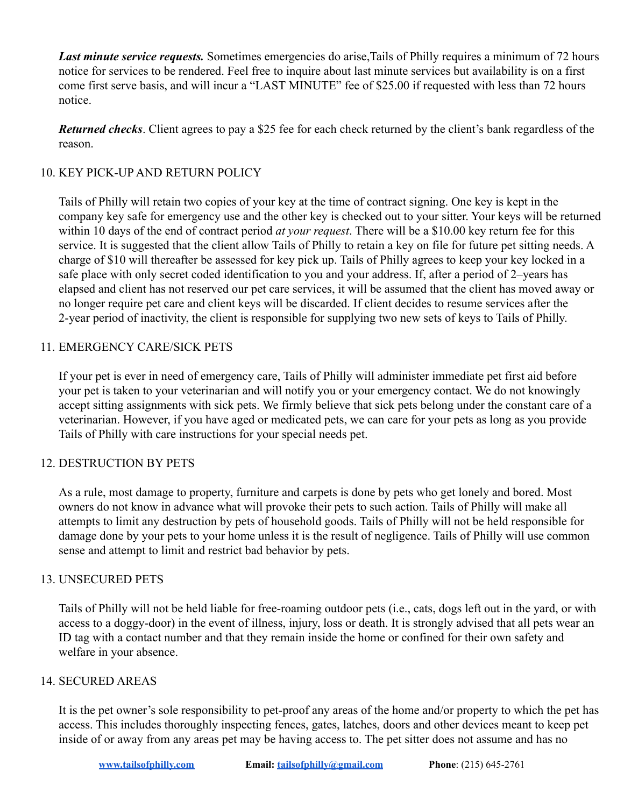*Last minute service requests.* Sometimes emergencies do arise,Tails of Philly requires a minimum of 72 hours notice for services to be rendered. Feel free to inquire about last minute services but availability is on a first come first serve basis, and will incur a "LAST MINUTE" fee of \$25.00 if requested with less than 72 hours notice.

*Returned checks*. Client agrees to pay a \$25 fee for each check returned by the client's bank regardless of the reason.

# 10. KEY PICK-UP AND RETURN POLICY

Tails of Philly will retain two copies of your key at the time of contract signing. One key is kept in the company key safe for emergency use and the other key is checked out to your sitter. Your keys will be returned within 10 days of the end of contract period *at your request*. There will be a \$10.00 key return fee for this service. It is suggested that the client allow Tails of Philly to retain a key on file for future pet sitting needs. A charge of \$10 will thereafter be assessed for key pick up. Tails of Philly agrees to keep your key locked in a safe place with only secret coded identification to you and your address. If, after a period of 2–years has elapsed and client has not reserved our pet care services, it will be assumed that the client has moved away or no longer require pet care and client keys will be discarded. If client decides to resume services after the 2-year period of inactivity, the client is responsible for supplying two new sets of keys to Tails of Philly.

# 11. EMERGENCY CARE/SICK PETS

If your pet is ever in need of emergency care, Tails of Philly will administer immediate pet first aid before your pet is taken to your veterinarian and will notify you or your emergency contact. We do not knowingly accept sitting assignments with sick pets. We firmly believe that sick pets belong under the constant care of a veterinarian. However, if you have aged or medicated pets, we can care for your pets as long as you provide Tails of Philly with care instructions for your special needs pet.

# 12. DESTRUCTION BY PETS

As a rule, most damage to property, furniture and carpets is done by pets who get lonely and bored. Most owners do not know in advance what will provoke their pets to such action. Tails of Philly will make all attempts to limit any destruction by pets of household goods. Tails of Philly will not be held responsible for damage done by your pets to your home unless it is the result of negligence. Tails of Philly will use common sense and attempt to limit and restrict bad behavior by pets.

# 13. UNSECURED PETS

Tails of Philly will not be held liable for free-roaming outdoor pets (i.e., cats, dogs left out in the yard, or with access to a doggy-door) in the event of illness, injury, loss or death. It is strongly advised that all pets wear an ID tag with a contact number and that they remain inside the home or confined for their own safety and welfare in your absence.

# 14. SECURED AREAS

It is the pet owner's sole responsibility to pet-proof any areas of the home and/or property to which the pet has access. This includes thoroughly inspecting fences, gates, latches, doors and other devices meant to keep pet inside of or away from any areas pet may be having access to. The pet sitter does not assume and has no